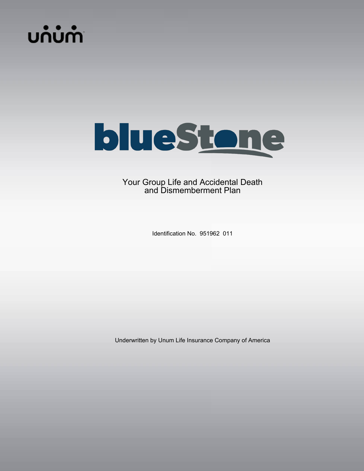# **บก๋บ๋ฑ**ำ



# Your Group Life and Accidental Death and Dismemberment Plan

Identification No. 951962 011

Underwritten by Unum Life Insurance Company of America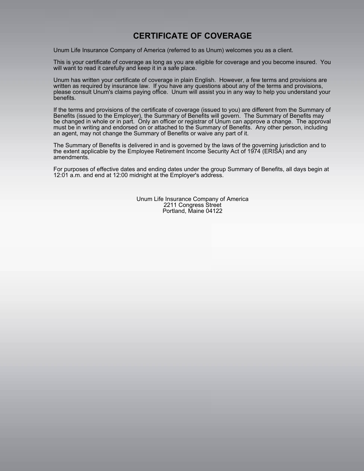# **CERTIFICATE OF COVERAGE**

Unum Life Insurance Company of America (referred to as Unum) welcomes you as a client.

This is your certificate of coverage as long as you are eligible for coverage and you become insured. You will want to read it carefully and keep it in a safe place.

Unum has written your certificate of coverage in plain English. However, a few terms and provisions are written as required by insurance law. If you have any questions about any of the terms and provisions, please consult Unum's claims paying office. Unum will assist you in any way to help you understand your benefits.

If the terms and provisions of the certificate of coverage (issued to you) are different from the Summary of Benefits (issued to the Employer), the Summary of Benefits will govern. The Summary of Benefits may be changed in whole or in part. Only an officer or registrar of Unum can approve a change. The approval must be in writing and endorsed on or attached to the Summary of Benefits. Any other person, including an agent, may not change the Summary of Benefits or waive any part of it.

The Summary of Benefits is delivered in and is governed by the laws of the governing jurisdiction and to the extent applicable by the Employee Retirement Income Security Act of 1974 (ERISA) and any amendments.

For purposes of effective dates and ending dates under the group Summary of Benefits, all days begin at 12:01 a.m. and end at 12:00 midnight at the Employer's address.

> Unum Life Insurance Company of America 2211 Congress Street Portland, Maine 04122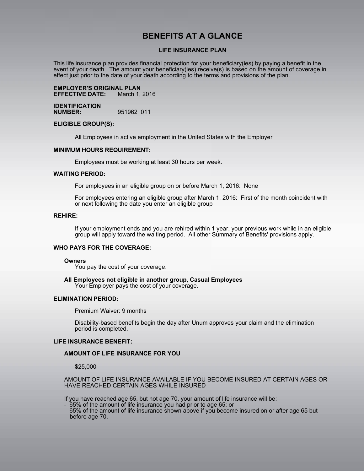# **BENEFITS AT A GLANCE**

#### **LIFE INSURANCE PLAN**

This life insurance plan provides financial protection for your beneficiary(ies) by paying a benefit in the event of your death. The amount your beneficiary(ies) receive(s) is based on the amount of coverage in effect just prior to the date of your death according to the terms and provisions of the plan.

**EMPLOYER'S ORIGINAL PLAN EFFECTIVE DATE:** 

**IDENTIFICATION NUMBER:** 951962 011

#### **ELIGIBLE GROUP(S):**

All Employees in active employment in the United States with the Employer

#### **MINIMUM HOURS REQUIREMENT:**

Employees must be working at least 30 hours per week.

#### **WAITING PERIOD:**

For employees in an eligible group on or before March 1, 2016: None

For employees entering an eligible group after March 1, 2016: First of the month coincident with or next following the date you enter an eligible group

#### **REHIRE:**

If your employment ends and you are rehired within 1 year, your previous work while in an eligible group will apply toward the waiting period. All other Summary of Benefits' provisions apply.

#### **WHO PAYS FOR THE COVERAGE:**

#### **Owners**

You pay the cost of your coverage.

**All Employees not eligible in another group, Casual Employees** Your Employer pays the cost of your coverage.

#### **ELIMINATION PERIOD:**

Premium Waiver: 9 months

Disability-based benefits begin the day after Unum approves your claim and the elimination period is completed.

#### **LIFE INSURANCE BENEFIT:**

#### **AMOUNT OF LIFE INSURANCE FOR YOU**

\$25,000

AMOUNT OF LIFE INSURANCE AVAILABLE IF YOU BECOME INSURED AT CERTAIN AGES OR HAVE REACHED CERTAIN AGES WHILE INSURED

If you have reached age 65, but not age 70, your amount of life insurance will be:

- 65% of the amount of life insurance you had prior to age 65; or
- 65% of the amount of life insurance shown above if you become insured on or after age 65 but before age 70.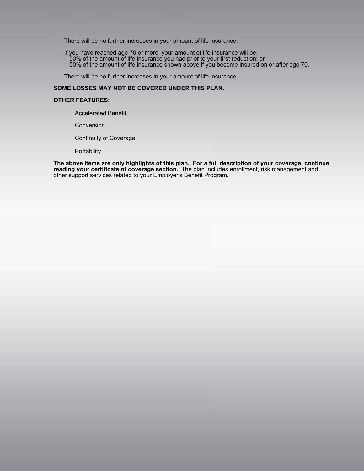There will be no further increases in your amount of life insurance.

If you have reached age 70 or more, your amount of life insurance will be:

- 50% of the amount of life insurance you had prior to your first reduction; or
- 50% of the amount of life insurance shown above if you become insured on or after age 70.

There will be no further increases in your amount of life insurance.

#### **SOME LOSSES MAY NOT BE COVERED UNDER THIS PLAN.**

#### **OTHER FEATURES:**

Accelerated Benefit

Conversion

Continuity of Coverage

**Portability** 

**The above items are only highlights of this plan. For a full description of your coverage, continue reading your certificate of coverage section.** The plan includes enrollment, risk management and other support services related to your Employer's Benefit Program.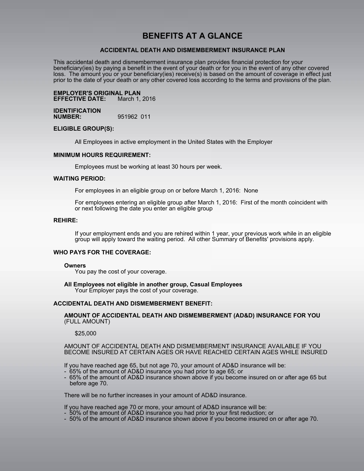# **BENEFITS AT A GLANCE**

#### **ACCIDENTAL DEATH AND DISMEMBERMENT INSURANCE PLAN**

This accidental death and dismemberment insurance plan provides financial protection for your beneficiary(ies) by paying a benefit in the event of your death or for you in the event of any other covered loss. The amount you or your beneficiary(ies) receive(s) is based on the amount of coverage in effect just prior to the date of your death or any other covered loss according to the terms and provisions of the plan.

**EMPLOYER'S ORIGINAL PLAN EFFECTIVE DATE:** 

**IDENTIFICATION NUMBER:** 951962 011

#### **ELIGIBLE GROUP(S):**

All Employees in active employment in the United States with the Employer

#### **MINIMUM HOURS REQUIREMENT:**

Employees must be working at least 30 hours per week.

#### **WAITING PERIOD:**

For employees in an eligible group on or before March 1, 2016: None

For employees entering an eligible group after March 1, 2016: First of the month coincident with or next following the date you enter an eligible group

#### **REHIRE:**

If your employment ends and you are rehired within 1 year, your previous work while in an eligible group will apply toward the waiting period. All other Summary of Benefits' provisions apply.

#### **WHO PAYS FOR THE COVERAGE:**

#### **Owners**

You pay the cost of your coverage.

**All Employees not eligible in another group, Casual Employees** Your Employer pays the cost of your coverage.

#### **ACCIDENTAL DEATH AND DISMEMBERMENT BENEFIT:**

**AMOUNT OF ACCIDENTAL DEATH AND DISMEMBERMENT (AD&D) INSURANCE FOR YOU**  (FULL AMOUNT)

#### \$25,000

AMOUNT OF ACCIDENTAL DEATH AND DISMEMBERMENT INSURANCE AVAILABLE IF YOU BECOME INSURED AT CERTAIN AGES OR HAVE REACHED CERTAIN AGES WHILE INSURED

If you have reached age 65, but not age 70, your amount of AD&D insurance will be:

- 65% of the amount of AD&D insurance you had prior to age 65; or
- 65% of the amount of AD&D insurance shown above if you become insured on or after age 65 but before age 70.

There will be no further increases in your amount of AD&D insurance.

If you have reached age 70 or more, your amount of AD&D insurance will be:

- 50% of the amount of AD&D insurance you had prior to your first reduction; or
- 50% of the amount of AD&D insurance shown above if you become insured on or after age 70.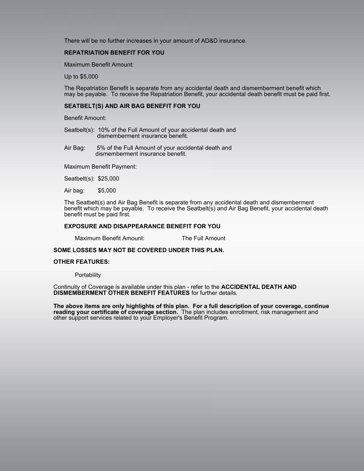There will be no further increases in your amount of AD&D insurance.

#### **REPATRIATION BENEFIT FOR YOU**

Maximum Benefit Amount:

Up to \$5,000

The Repatriation Benefit is separate from any accidental death and dismemberment benefit which may be payable. To receive the Repatriation Benefit, your accidental death benefit must be paid first.

#### **SEATBELT(S) AND AIR BAG BENEFIT FOR YOU**

Benefit Amount:

Seatbelt(s): 10% of the Full Amount of your accidental death and dismemberment insurance benefit.

Air Bag: 5% of the Full Amount of your accidental death and dismemberment insurance benefit.

Maximum Benefit Payment:

Seatbelt(s): \$25,000

Air bag: \$5,000

The Seatbelt(s) and Air Bag Benefit is separate from any accidental death and dismemberment benefit which may be payable. To receive the Seatbelt(s) and Air Bag Benefit, your accidental death benefit must be paid first.

#### **EXPOSURE AND DISAPPEARANCE BENEFIT FOR YOU**

Maximum Benefit Amount: The Full Amount

#### **SOME LOSSES MAY NOT BE COVERED UNDER THIS PLAN.**

#### **OTHER FEATURES:**

**Portability** 

Continuity of Coverage is available under this plan - refer to the **ACCIDENTAL DEATH AND DISMEMBERMENT OTHER BENEFIT FEATURES** for further details.

**The above items are only highlights of this plan. For a full description of your coverage, continue reading your certificate of coverage section.** The plan includes enrollment, risk management and other support services related to your Employer's Benefit Program.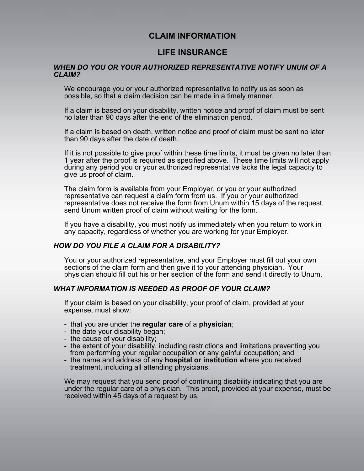# **CLAIM INFORMATION**

# **LIFE INSURANCE**

## *WHEN DO YOU OR YOUR AUTHORIZED REPRESENTATIVE NOTIFY UNUM OF A CLAIM?*

We encourage you or your authorized representative to notify us as soon as possible, so that a claim decision can be made in a timely manner.

If a claim is based on your disability, written notice and proof of claim must be sent no later than 90 days after the end of the elimination period.

If a claim is based on death, written notice and proof of claim must be sent no later than 90 days after the date of death.

If it is not possible to give proof within these time limits, it must be given no later than 1 year after the proof is required as specified above. These time limits will not apply during any period you or your authorized representative lacks the legal capacity to give us proof of claim.

The claim form is available from your Employer, or you or your authorized representative can request a claim form from us. If you or your authorized representative does not receive the form from Unum within 15 days of the request, send Unum written proof of claim without waiting for the form.

If you have a disability, you must notify us immediately when you return to work in any capacity, regardless of whether you are working for your Employer.

## *HOW DO YOU FILE A CLAIM FOR A DISABILITY?*

You or your authorized representative, and your Employer must fill out your own sections of the claim form and then give it to your attending physician. Your physician should fill out his or her section of the form and send it directly to Unum.

## *WHAT INFORMATION IS NEEDED AS PROOF OF YOUR CLAIM?*

If your claim is based on your disability, your proof of claim, provided at your expense, must show:

- that you are under the **regular care** of a **physician**;
- the date your disability began;
- the cause of your disability;
- the extent of your disability, including restrictions and limitations preventing you from performing your regular occupation or any gainful occupation; and
- the name and address of any **hospital or institution** where you received treatment, including all attending physicians.

We may request that you send proof of continuing disability indicating that you are under the regular care of a physician. This proof, provided at your expense, must be received within 45 days of a request by us.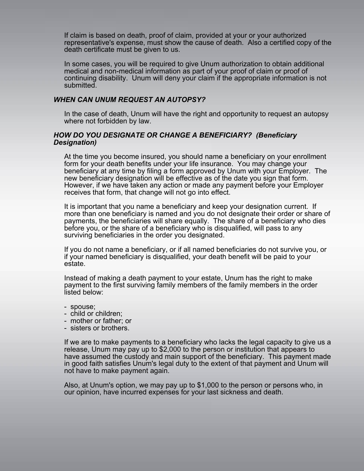If claim is based on death, proof of claim, provided at your or your authorized representative's expense, must show the cause of death. Also a certified copy of the death certificate must be given to us.

In some cases, you will be required to give Unum authorization to obtain additional medical and non-medical information as part of your proof of claim or proof of continuing disability. Unum will deny your claim if the appropriate information is not submitted.

## *WHEN CAN UNUM REQUEST AN AUTOPSY?*

In the case of death, Unum will have the right and opportunity to request an autopsy where not forbidden by law.

## *HOW DO YOU DESIGNATE OR CHANGE A BENEFICIARY? (Beneficiary Designation)*

At the time you become insured, you should name a beneficiary on your enrollment form for your death benefits under your life insurance. You may change your beneficiary at any time by filing a form approved by Unum with your Employer. The new beneficiary designation will be effective as of the date you sign that form. However, if we have taken any action or made any payment before your Employer receives that form, that change will not go into effect.

It is important that you name a beneficiary and keep your designation current. If more than one beneficiary is named and you do not designate their order or share of payments, the beneficiaries will share equally. The share of a beneficiary who dies before you, or the share of a beneficiary who is disqualified, will pass to any surviving beneficiaries in the order you designated.

If you do not name a beneficiary, or if all named beneficiaries do not survive you, or if your named beneficiary is disqualified, your death benefit will be paid to your estate.

Instead of making a death payment to your estate, Unum has the right to make payment to the first surviving family members of the family members in the order listed below:

- spouse;
- child or children;
- mother or father; or
- sisters or brothers.

If we are to make payments to a beneficiary who lacks the legal capacity to give us a release, Unum may pay up to \$2,000 to the person or institution that appears to have assumed the custody and main support of the beneficiary. This payment made in good faith satisfies Unum's legal duty to the extent of that payment and Unum will not have to make payment again.

Also, at Unum's option, we may pay up to \$1,000 to the person or persons who, in our opinion, have incurred expenses for your last sickness and death.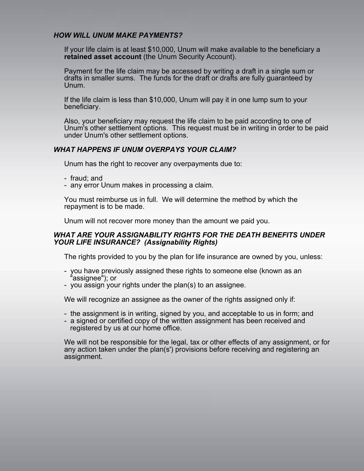## *HOW WILL UNUM MAKE PAYMENTS?*

If your life claim is at least \$10,000, Unum will make available to the beneficiary a **retained asset account** (the Unum Security Account).

Payment for the life claim may be accessed by writing a draft in a single sum or drafts in smaller sums. The funds for the draft or drafts are fully guaranteed by Unum.

If the life claim is less than \$10,000, Unum will pay it in one lump sum to your beneficiary.

Also, your beneficiary may request the life claim to be paid according to one of Unum's other settlement options. This request must be in writing in order to be paid under Unum's other settlement options.

## *WHAT HAPPENS IF UNUM OVERPAYS YOUR CLAIM?*

Unum has the right to recover any overpayments due to:

- fraud; and
- any error Unum makes in processing a claim.

You must reimburse us in full. We will determine the method by which the repayment is to be made.

Unum will not recover more money than the amount we paid you.

## *WHAT ARE YOUR ASSIGNABILITY RIGHTS FOR THE DEATH BENEFITS UNDER YOUR LIFE INSURANCE? (Assignability Rights)*

The rights provided to you by the plan for life insurance are owned by you, unless:

- you have previously assigned these rights to someone else (known as an "assignee"); or
- you assign your rights under the plan(s) to an assignee.

We will recognize an assignee as the owner of the rights assigned only if:

- the assignment is in writing, signed by you, and acceptable to us in form; and
- a signed or certified copy of the written assignment has been received and registered by us at our home office.

We will not be responsible for the legal, tax or other effects of any assignment, or for any action taken under the plan(s') provisions before receiving and registering an assignment.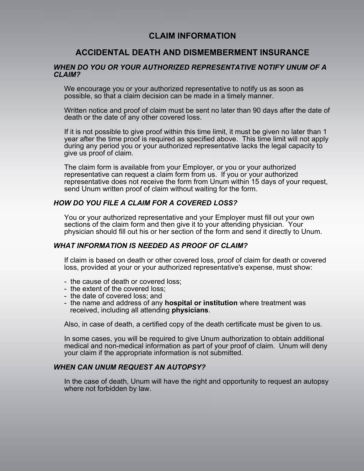# **CLAIM INFORMATION**

# **ACCIDENTAL DEATH AND DISMEMBERMENT INSURANCE**

## *WHEN DO YOU OR YOUR AUTHORIZED REPRESENTATIVE NOTIFY UNUM OF A CLAIM?*

We encourage you or your authorized representative to notify us as soon as possible, so that a claim decision can be made in a timely manner.

Written notice and proof of claim must be sent no later than 90 days after the date of death or the date of any other covered loss.

If it is not possible to give proof within this time limit, it must be given no later than 1 year after the time proof is required as specified above. This time limit will not apply during any period you or your authorized representative lacks the legal capacity to give us proof of claim.

The claim form is available from your Employer, or you or your authorized representative can request a claim form from us. If you or your authorized representative does not receive the form from Unum within 15 days of your request, send Unum written proof of claim without waiting for the form.

## *HOW DO YOU FILE A CLAIM FOR A COVERED LOSS?*

You or your authorized representative and your Employer must fill out your own sections of the claim form and then give it to your attending physician. Your physician should fill out his or her section of the form and send it directly to Unum.

## *WHAT INFORMATION IS NEEDED AS PROOF OF CLAIM?*

If claim is based on death or other covered loss, proof of claim for death or covered loss, provided at your or your authorized representative's expense, must show:

- the cause of death or covered loss;
- the extent of the covered loss;
- the date of covered loss; and
- the name and address of any **hospital or institution** where treatment was received, including all attending **physicians**.

Also, in case of death, a certified copy of the death certificate must be given to us.

In some cases, you will be required to give Unum authorization to obtain additional medical and non-medical information as part of your proof of claim. Unum will deny your claim if the appropriate information is not submitted.

## *WHEN CAN UNUM REQUEST AN AUTOPSY?*

In the case of death, Unum will have the right and opportunity to request an autopsy where not forbidden by law.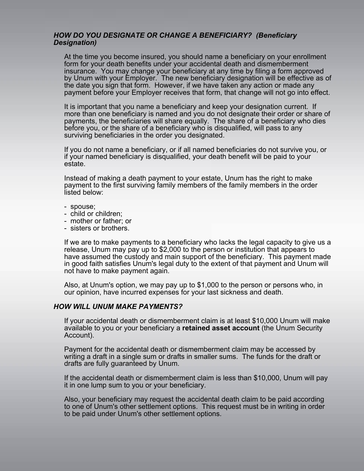## *HOW DO YOU DESIGNATE OR CHANGE A BENEFICIARY? (Beneficiary Designation)*

At the time you become insured, you should name a beneficiary on your enrollment form for your death benefits under your accidental death and dismemberment insurance. You may change your beneficiary at any time by filing a form approved by Unum with your Employer. The new beneficiary designation will be effective as of the date you sign that form. However, if we have taken any action or made any payment before your Employer receives that form, that change will not go into effect.

It is important that you name a beneficiary and keep your designation current. If more than one beneficiary is named and you do not designate their order or share of payments, the beneficiaries will share equally. The share of a beneficiary who dies before you, or the share of a beneficiary who is disqualified, will pass to any surviving beneficiaries in the order you designated.

If you do not name a beneficiary, or if all named beneficiaries do not survive you, or if your named beneficiary is disqualified, your death benefit will be paid to your estate.

Instead of making a death payment to your estate, Unum has the right to make payment to the first surviving family members of the family members in the order listed below:

- spouse;
- child or children;
- mother or father; or
- sisters or brothers.

If we are to make payments to a beneficiary who lacks the legal capacity to give us a release, Unum may pay up to \$2,000 to the person or institution that appears to have assumed the custody and main support of the beneficiary. This payment made in good faith satisfies Unum's legal duty to the extent of that payment and Unum will not have to make payment again.

Also, at Unum's option, we may pay up to \$1,000 to the person or persons who, in our opinion, have incurred expenses for your last sickness and death.

## *HOW WILL UNUM MAKE PAYMENTS?*

If your accidental death or dismemberment claim is at least \$10,000 Unum will make available to you or your beneficiary a **retained asset account** (the Unum Security Account).

Payment for the accidental death or dismemberment claim may be accessed by writing a draft in a single sum or drafts in smaller sums. The funds for the draft or drafts are fully guaranteed by Unum.

If the accidental death or dismemberment claim is less than \$10,000, Unum will pay it in one lump sum to you or your beneficiary.

Also, your beneficiary may request the accidental death claim to be paid according to one of Unum's other settlement options. This request must be in writing in order to be paid under Unum's other settlement options.